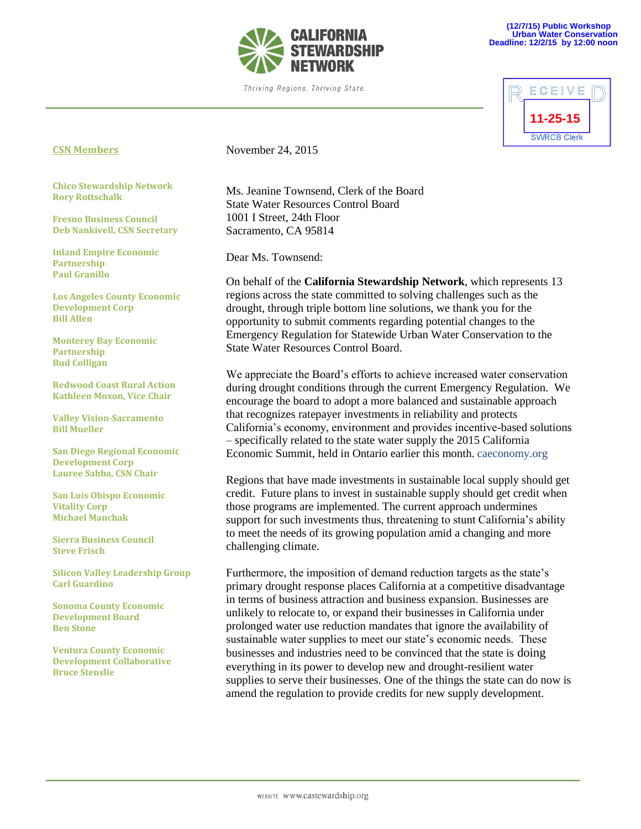

Thriving Regions. Thriving State.



## **CSN Members**

**Chico Stewardship Network Rory Rottschalk**

**Fresno Business Council Deb Nankivell, CSN Secretary**

**Inland Empire Economic Partnership Paul Granillo**

**Los Angeles County Economic Development Corp Bill Allen**

**Monterey Bay Economic Partnership Bud Colligan**

**Redwood Coast Rural Action Kathleen Moxon, Vice Chair**

**Valley Vision-Sacramento Bill Mueller**

**San Diego Regional Economic Development Corp Lauree Sahba, CSN Chair**

**San Luis Obispo Economic Vitality Corp Michael Manchak**

**Sierra Business Council Steve Frisch**

**Silicon Valley Leadership Group Carl Guardino**

**Sonoma County Economic Development Board Ben Stone**

**Ventura County Economic Development Collaborative Bruce Stenslie**

November 24, 2015

Ms. Jeanine Townsend, Clerk of the Board State Water Resources Control Board 1001 I Street, 24th Floor Sacramento, CA 95814

Dear Ms. Townsend:

On behalf of the **California Stewardship Network**, which represents 13 regions across the state committed to solving challenges such as the drought, through triple bottom line solutions, we thank you for the opportunity to submit comments regarding potential changes to the Emergency Regulation for Statewide Urban Water Conservation to the State Water Resources Control Board.

We appreciate the Board's efforts to achieve increased water conservation during drought conditions through the current Emergency Regulation. We encourage the board to adopt a more balanced and sustainable approach that recognizes ratepayer investments in reliability and protects California's economy, environment and provides incentive-based solutions – specifically related to the state water supply the 2015 California Economic Summit, held in Ontario earlier this month. caeconomy.org

Regions that have made investments in sustainable local supply should get credit. Future plans to invest in sustainable supply should get credit when those programs are implemented. The current approach undermines support for such investments thus, threatening to stunt California's ability to meet the needs of its growing population amid a changing and more challenging climate.

Furthermore, the imposition of demand reduction targets as the state's primary drought response places California at a competitive disadvantage in terms of business attraction and business expansion. Businesses are unlikely to relocate to, or expand their businesses in California under prolonged water use reduction mandates that ignore the availability of sustainable water supplies to meet our state's economic needs. These businesses and industries need to be convinced that the state is doing everything in its power to develop new and drought-resilient water supplies to serve their businesses. One of the things the state can do now is amend the regulation to provide credits for new supply development.